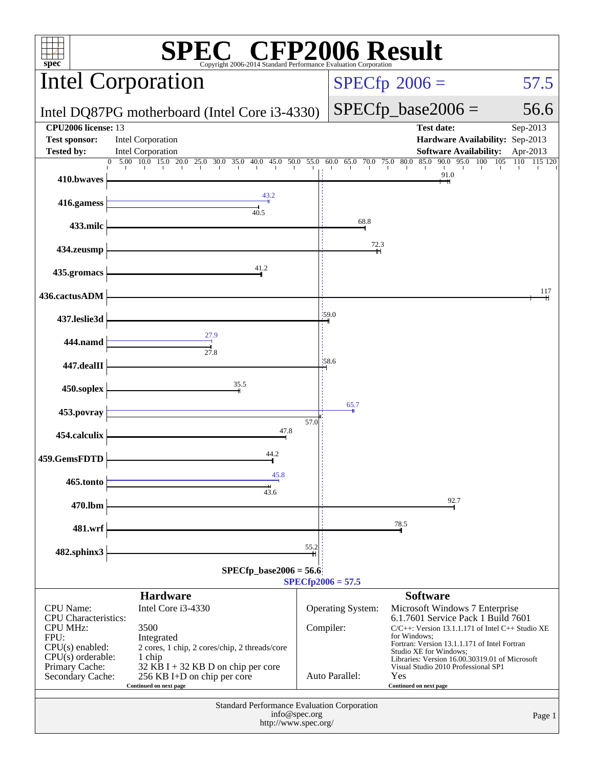| <b>CFP2006 Result</b><br>$spec*$<br>Copyright 2006-2014 Standard Performance Evaluation Corporation                                                                                                                                                                                                                                                                  |                                                                                      |      |                                                                                                                                                                                                                                                                                                                                                                                                              |                                                                                       |                      |  |
|----------------------------------------------------------------------------------------------------------------------------------------------------------------------------------------------------------------------------------------------------------------------------------------------------------------------------------------------------------------------|--------------------------------------------------------------------------------------|------|--------------------------------------------------------------------------------------------------------------------------------------------------------------------------------------------------------------------------------------------------------------------------------------------------------------------------------------------------------------------------------------------------------------|---------------------------------------------------------------------------------------|----------------------|--|
|                                                                                                                                                                                                                                                                                                                                                                      | <b>Intel Corporation</b>                                                             |      |                                                                                                                                                                                                                                                                                                                                                                                                              | $SPECfp^{\circ}2006 =$                                                                | 57.5                 |  |
|                                                                                                                                                                                                                                                                                                                                                                      | Intel DQ87PG motherboard (Intel Core i3-4330)                                        |      |                                                                                                                                                                                                                                                                                                                                                                                                              | $SPECfp\_base2006 =$                                                                  | 56.6                 |  |
| <b>CPU2006</b> license: 13<br><b>Test sponsor:</b><br><b>Tested by:</b>                                                                                                                                                                                                                                                                                              | <b>Intel Corporation</b><br>Intel Corporation                                        |      |                                                                                                                                                                                                                                                                                                                                                                                                              | <b>Test date:</b><br>Hardware Availability: Sep-2013<br><b>Software Availability:</b> | Sep-2013<br>Apr-2013 |  |
| 410.bwaves                                                                                                                                                                                                                                                                                                                                                           | $5.00$ 10.0 15.0 20.0<br>25.0 30.0 35.0 40.0 45.0 50.0 55.0 60.0 65.0 70.0 75.0 80.0 |      |                                                                                                                                                                                                                                                                                                                                                                                                              | 90.0 95.0<br>100 105<br>85.0<br>91.0                                                  | 110<br>115 120       |  |
| 416.gamess                                                                                                                                                                                                                                                                                                                                                           | 43.2<br>40.5                                                                         |      |                                                                                                                                                                                                                                                                                                                                                                                                              |                                                                                       |                      |  |
| 433.milc                                                                                                                                                                                                                                                                                                                                                             |                                                                                      |      | 68.8                                                                                                                                                                                                                                                                                                                                                                                                         |                                                                                       |                      |  |
| 434.zeusmp                                                                                                                                                                                                                                                                                                                                                           |                                                                                      |      | 72.3                                                                                                                                                                                                                                                                                                                                                                                                         |                                                                                       |                      |  |
| 435.gromacs                                                                                                                                                                                                                                                                                                                                                          | 41.2                                                                                 |      |                                                                                                                                                                                                                                                                                                                                                                                                              |                                                                                       |                      |  |
| 436.cactusADM                                                                                                                                                                                                                                                                                                                                                        |                                                                                      |      |                                                                                                                                                                                                                                                                                                                                                                                                              |                                                                                       | 117                  |  |
| 437.leslie3d                                                                                                                                                                                                                                                                                                                                                         |                                                                                      |      | 159.0                                                                                                                                                                                                                                                                                                                                                                                                        |                                                                                       |                      |  |
| 444.namd                                                                                                                                                                                                                                                                                                                                                             | 27.9<br>$\frac{1}{27.8}$                                                             |      |                                                                                                                                                                                                                                                                                                                                                                                                              |                                                                                       |                      |  |
| 447.dealII                                                                                                                                                                                                                                                                                                                                                           |                                                                                      |      | 158.6                                                                                                                                                                                                                                                                                                                                                                                                        |                                                                                       |                      |  |
| 450.soplex                                                                                                                                                                                                                                                                                                                                                           | 35.5                                                                                 |      |                                                                                                                                                                                                                                                                                                                                                                                                              |                                                                                       |                      |  |
| 453.povray                                                                                                                                                                                                                                                                                                                                                           |                                                                                      |      | 65.7                                                                                                                                                                                                                                                                                                                                                                                                         |                                                                                       |                      |  |
| 454.calculix                                                                                                                                                                                                                                                                                                                                                         | 47.8                                                                                 | 57.0 |                                                                                                                                                                                                                                                                                                                                                                                                              |                                                                                       |                      |  |
| 459.GemsFDTD                                                                                                                                                                                                                                                                                                                                                         | 44.2                                                                                 |      |                                                                                                                                                                                                                                                                                                                                                                                                              |                                                                                       |                      |  |
| 465.tonto                                                                                                                                                                                                                                                                                                                                                            | 45.8                                                                                 |      |                                                                                                                                                                                                                                                                                                                                                                                                              |                                                                                       |                      |  |
| 470.lbm                                                                                                                                                                                                                                                                                                                                                              | 43.6                                                                                 |      |                                                                                                                                                                                                                                                                                                                                                                                                              | 92.7                                                                                  |                      |  |
| 481.wrf                                                                                                                                                                                                                                                                                                                                                              |                                                                                      |      |                                                                                                                                                                                                                                                                                                                                                                                                              | 78.5                                                                                  |                      |  |
| 482.sphinx3                                                                                                                                                                                                                                                                                                                                                          |                                                                                      | 55.2 |                                                                                                                                                                                                                                                                                                                                                                                                              |                                                                                       |                      |  |
| $SPECfp\_base2006 = 56.6$<br>$SPECfp2006 = 57.5$                                                                                                                                                                                                                                                                                                                     |                                                                                      |      |                                                                                                                                                                                                                                                                                                                                                                                                              |                                                                                       |                      |  |
|                                                                                                                                                                                                                                                                                                                                                                      | <b>Hardware</b>                                                                      |      |                                                                                                                                                                                                                                                                                                                                                                                                              | <b>Software</b>                                                                       |                      |  |
| Intel Core i3-4330<br><b>CPU</b> Name:<br><b>CPU</b> Characteristics:<br><b>CPU MHz:</b><br>3500<br>FPU:<br>Integrated<br>$CPU(s)$ enabled:<br>2 cores, 1 chip, 2 cores/chip, 2 threads/core<br>$CPU(s)$ orderable:<br>1 chip<br>Primary Cache:<br>$32$ KB I + 32 KB D on chip per core<br>256 KB I+D on chip per core<br>Secondary Cache:<br>Continued on next page |                                                                                      |      | <b>Operating System:</b><br>Microsoft Windows 7 Enterprise<br>6.1.7601 Service Pack 1 Build 7601<br>Compiler:<br>$C/C++$ : Version 13.1.1.171 of Intel $C++$ Studio XE<br>for Windows:<br>Fortran: Version 13.1.1.171 of Intel Fortran<br>Studio XE for Windows;<br>Libraries: Version 16.00.30319.01 of Microsoft<br>Visual Studio 2010 Professional SP1<br>Auto Parallel:<br>Yes<br>Continued on next page |                                                                                       |                      |  |
| Standard Performance Evaluation Corporation<br>info@spec.org<br>Page 1<br>http://www.spec.org/                                                                                                                                                                                                                                                                       |                                                                                      |      |                                                                                                                                                                                                                                                                                                                                                                                                              |                                                                                       |                      |  |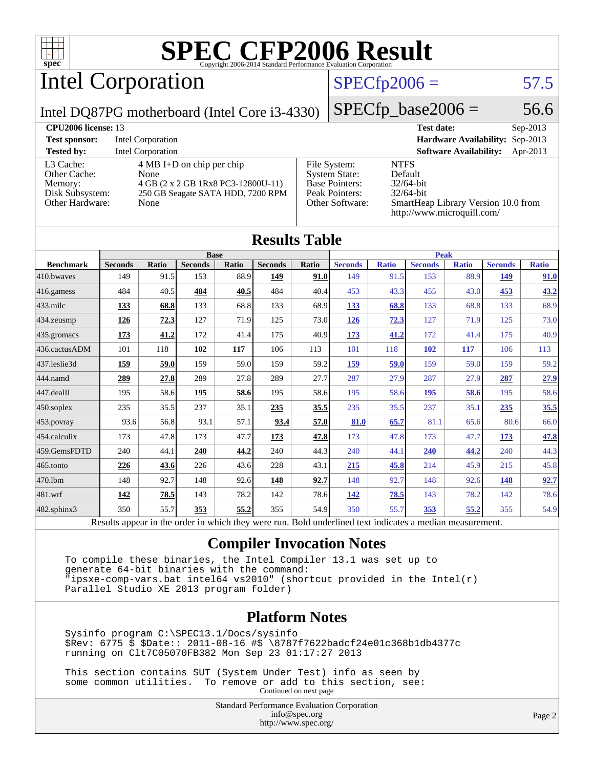

## Intel Corporation

### $SPECfp2006 = 57.5$  $SPECfp2006 = 57.5$

Intel DQ87PG motherboard (Intel Core i3-4330)

 $SPECfp\_base2006 = 56.6$ 

| <b>CPU<sub>2006</sub></b> license: 13                                      |                                                                                                                                |                                                                                                    | <b>Test date:</b><br>$Sep-2013$                                                                                             |
|----------------------------------------------------------------------------|--------------------------------------------------------------------------------------------------------------------------------|----------------------------------------------------------------------------------------------------|-----------------------------------------------------------------------------------------------------------------------------|
| <b>Test sponsor:</b>                                                       | Intel Corporation                                                                                                              |                                                                                                    | Hardware Availability: Sep-2013                                                                                             |
| <b>Tested by:</b>                                                          | <b>Intel Corporation</b>                                                                                                       |                                                                                                    | <b>Software Availability:</b><br>Apr-2013                                                                                   |
| L3 Cache:<br>Other Cache:<br>Memory:<br>Disk Subsystem:<br>Other Hardware: | $4 \text{ MB I+D}$ on chip per chip<br>None<br>4 GB (2 x 2 GB 1Rx8 PC3-12800U-11)<br>250 GB Seagate SATA HDD, 7200 RPM<br>None | File System:<br><b>System State:</b><br><b>Base Pointers:</b><br>Peak Pointers:<br>Other Software: | <b>NTFS</b><br>Default<br>$32/64$ -bit<br>$32/64$ -bit<br>SmartHeap Library Version 10.0 from<br>http://www.microquill.com/ |

|                  |                |       |                |       | <b>Results Table</b> |       |                |              |                |              |                |              |
|------------------|----------------|-------|----------------|-------|----------------------|-------|----------------|--------------|----------------|--------------|----------------|--------------|
|                  | <b>Base</b>    |       |                |       | <b>Peak</b>          |       |                |              |                |              |                |              |
| <b>Benchmark</b> | <b>Seconds</b> | Ratio | <b>Seconds</b> | Ratio | <b>Seconds</b>       | Ratio | <b>Seconds</b> | <b>Ratio</b> | <b>Seconds</b> | <b>Ratio</b> | <b>Seconds</b> | <b>Ratio</b> |
| 410.bwayes       | 149            | 91.5  | 153            | 88.9  | 149                  | 91.0  | 149            | 91.5         | 153            | 88.9         | <u>149</u>     | 91.0         |
| 416.gamess       | 484            | 40.5  | 484            | 40.5  | 484                  | 40.4  | 453            | 43.3         | 455            | 43.0         | 453            | 43.2         |
| 433.milc         | 133            | 68.8  | 133            | 68.8  | 133                  | 68.9  | 133            | 68.8         | 133            | 68.8         | 133            | 68.9         |
| 434.zeusmp       | <u>126</u>     | 72.3  | 127            | 71.9  | 125                  | 73.0  | <u>126</u>     | 72.3         | 127            | 71.9         | 125            | 73.0         |
| 435.gromacs      | <u>173</u>     | 41.2  | 172            | 41.4  | 175                  | 40.9  | <u>173</u>     | 41.2         | 172            | 41.4         | 175            | 40.9         |
| 436.cactusADM    | 101            | 118   | 102            | 117   | 106                  | 113   | 101            | 118          | <b>102</b>     | <b>117</b>   | 106            | 113          |
| 437.leslie3d     | 159            | 59.0  | 159            | 59.0  | 159                  | 59.2  | 159            | 59.0         | 159            | 59.0         | 159            | 59.2         |
| 444.namd         | 289            | 27.8  | 289            | 27.8  | 289                  | 27.7  | 287            | 27.9         | 287            | 27.9         | 287            | 27.9         |
| 447.dealII       | 195            | 58.6  | 195            | 58.6  | 195                  | 58.6  | 195            | 58.6         | 195            | 58.6         | 195            | 58.6         |
| 450.soplex       | 235            | 35.5  | 237            | 35.1  | 235                  | 35.5  | 235            | 35.5         | 237            | 35.1         | 235            | 35.5         |
| 453.povray       | 93.6           | 56.8  | 93.1           | 57.1  | 93.4                 | 57.0  | 81.0           | 65.7         | 81.1           | 65.6         | 80.6           | 66.0         |
| 454.calculix     | 173            | 47.8  | 173            | 47.7  | 173                  | 47.8  | 173            | 47.8         | 173            | 47.7         | 173            | 47.8         |
| 459.GemsFDTD     | 240            | 44.1  | 240            | 44.2  | 240                  | 44.3  | 240            | 44.1         | 240            | 44.2         | 240            | 44.3         |
| 465.tonto        | 226            | 43.6  | 226            | 43.6  | 228                  | 43.1  | 215            | 45.8         | 214            | 45.9         | 215            | 45.8         |
| 470.1bm          | 148            | 92.7  | 148            | 92.6  | 148                  | 92.7  | 148            | 92.7         | 148            | 92.6         | <u>148</u>     | 92.7         |
| 481.wrf          | 142            | 78.5  | 143            | 78.2  | 142                  | 78.6  | <u>142</u>     | 78.5         | 143            | 78.2         | 142            | 78.6         |
| 482.sphinx3      | 350            | 55.7  | 353            | 55.2  | 355                  | 54.9  | 350            | 55.7         | <u>353</u>     | 55.2         | 355            | 54.9         |

Results appear in the [order in which they were run.](http://www.spec.org/auto/cpu2006/Docs/result-fields.html#RunOrder) Bold underlined text [indicates a median measurement.](http://www.spec.org/auto/cpu2006/Docs/result-fields.html#Median)

#### **[Compiler Invocation Notes](http://www.spec.org/auto/cpu2006/Docs/result-fields.html#CompilerInvocationNotes)**

 To compile these binaries, the Intel Compiler 13.1 was set up to generate 64-bit binaries with the command: "ipsxe-comp-vars.bat intel64 vs2010" (shortcut provided in the Intel(r) Parallel Studio XE 2013 program folder)

#### **[Platform Notes](http://www.spec.org/auto/cpu2006/Docs/result-fields.html#PlatformNotes)**

 Sysinfo program C:\SPEC13.1/Docs/sysinfo \$Rev: 6775 \$ \$Date:: 2011-08-16 #\$ \8787f7622badcf24e01c368b1db4377c running on Clt7C05070FB382 Mon Sep 23 01:17:27 2013

 This section contains SUT (System Under Test) info as seen by some common utilities. To remove or add to this section, see: Continued on next page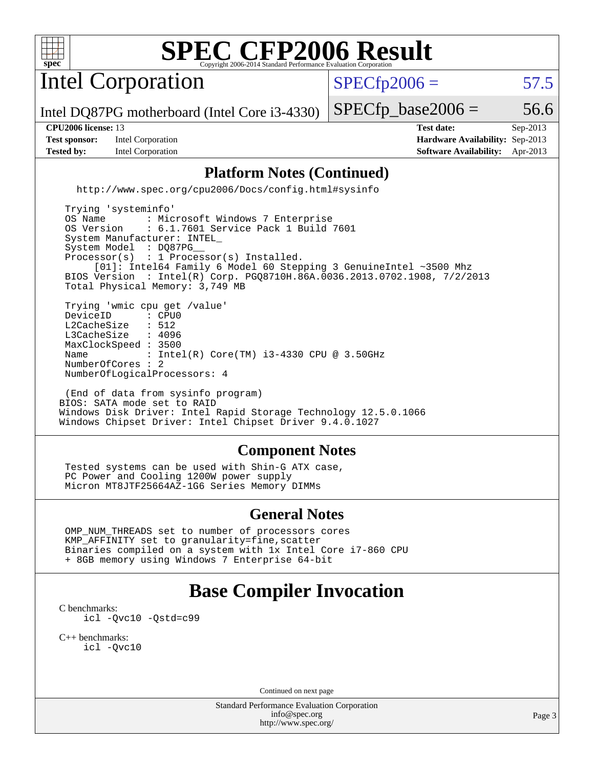

Intel Corporation

 $SPECTp2006 = 57.5$ 

Intel DQ87PG motherboard (Intel Core i3-4330)

**[Test sponsor:](http://www.spec.org/auto/cpu2006/Docs/result-fields.html#Testsponsor)** Intel Corporation **[Hardware Availability:](http://www.spec.org/auto/cpu2006/Docs/result-fields.html#HardwareAvailability)** Sep-2013 **[Tested by:](http://www.spec.org/auto/cpu2006/Docs/result-fields.html#Testedby)** Intel Corporation **[Software Availability:](http://www.spec.org/auto/cpu2006/Docs/result-fields.html#SoftwareAvailability)** Apr-2013

 $SPECTp\_base2006 = 56.6$ 

**[CPU2006 license:](http://www.spec.org/auto/cpu2006/Docs/result-fields.html#CPU2006license)** 13 **[Test date:](http://www.spec.org/auto/cpu2006/Docs/result-fields.html#Testdate)** Sep-2013

### **[Platform Notes \(Continued\)](http://www.spec.org/auto/cpu2006/Docs/result-fields.html#PlatformNotes)**

<http://www.spec.org/cpu2006/Docs/config.html#sysinfo>

 Trying 'systeminfo' OS Name : Microsoft Windows 7 Enterprise<br>OS Version : 6.1.7601 Service Pack 1 Build : 6.1.7601 Service Pack 1 Build 7601 System Manufacturer: INTEL\_ System Model : DQ87PG Processor(s) : 1 Processor(s) Installed. [01]: Intel64 Family 6 Model 60 Stepping 3 GenuineIntel ~3500 Mhz BIOS Version : Intel(R) Corp. PGQ8710H.86A.0036.2013.0702.1908, 7/2/2013 Total Physical Memory: 3,749 MB Trying 'wmic cpu get /value' DeviceID : CPU<br>L2CacheSize : 512 L2CacheSize : 512<br>L3CacheSize : 4096 L3CacheSize MaxClockSpeed : 3500 Name : Intel(R) Core(TM) i3-4330 CPU @ 3.50GHz NumberOfCores : 2 NumberOfLogicalProcessors: 4

 (End of data from sysinfo program) BIOS: SATA mode set to RAID Windows Disk Driver: Intel Rapid Storage Technology 12.5.0.1066 Windows Chipset Driver: Intel Chipset Driver 9.4.0.1027

#### **[Component Notes](http://www.spec.org/auto/cpu2006/Docs/result-fields.html#ComponentNotes)**

 Tested systems can be used with Shin-G ATX case, PC Power and Cooling 1200W power supply Micron MT8JTF25664AZ-1G6 Series Memory DIMMs

#### **[General Notes](http://www.spec.org/auto/cpu2006/Docs/result-fields.html#GeneralNotes)**

 OMP\_NUM\_THREADS set to number of processors cores KMP\_AFFINITY set to granularity=fine,scatter Binaries compiled on a system with 1x Intel Core i7-860 CPU + 8GB memory using Windows 7 Enterprise 64-bit

### **[Base Compiler Invocation](http://www.spec.org/auto/cpu2006/Docs/result-fields.html#BaseCompilerInvocation)**

[C benchmarks](http://www.spec.org/auto/cpu2006/Docs/result-fields.html#Cbenchmarks): [icl -Qvc10](http://www.spec.org/cpu2006/results/res2014q3/cpu2006-20140701-30196.flags.html#user_CCbase_intel_icc_vc10_9607f3ecbcdf68042245f068e51b40c1) [-Qstd=c99](http://www.spec.org/cpu2006/results/res2014q3/cpu2006-20140701-30196.flags.html#user_CCbase_intel_compiler_c99_mode_1a3d110e3041b3ad4466830521bdad2a)

[C++ benchmarks:](http://www.spec.org/auto/cpu2006/Docs/result-fields.html#CXXbenchmarks) [icl -Qvc10](http://www.spec.org/cpu2006/results/res2014q3/cpu2006-20140701-30196.flags.html#user_CXXbase_intel_icc_vc10_9607f3ecbcdf68042245f068e51b40c1)

Continued on next page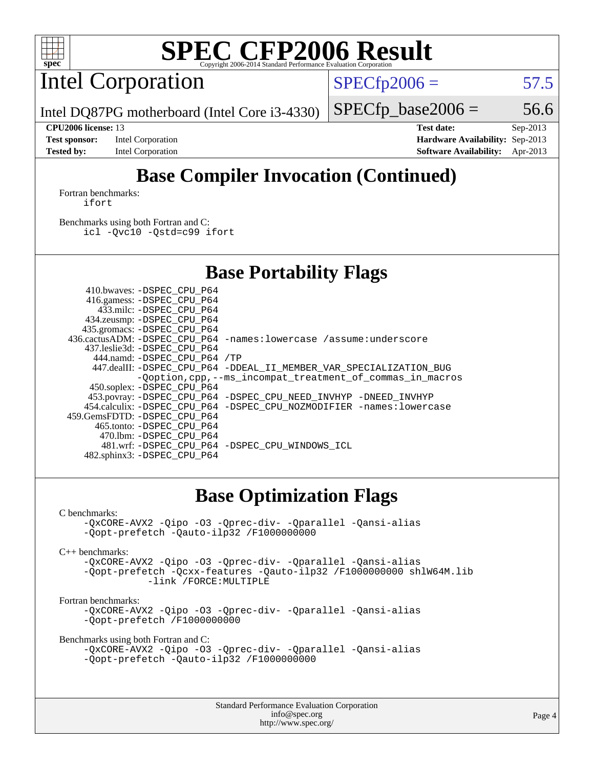

Intel Corporation

 $SPECfp2006 = 57.5$  $SPECfp2006 = 57.5$ 

Intel DQ87PG motherboard (Intel Core i3-4330)

#### **[CPU2006 license:](http://www.spec.org/auto/cpu2006/Docs/result-fields.html#CPU2006license)** 13 **[Test date:](http://www.spec.org/auto/cpu2006/Docs/result-fields.html#Testdate)** Sep-2013

**[Test sponsor:](http://www.spec.org/auto/cpu2006/Docs/result-fields.html#Testsponsor)** Intel Corporation **[Hardware Availability:](http://www.spec.org/auto/cpu2006/Docs/result-fields.html#HardwareAvailability)** Sep-2013 **[Tested by:](http://www.spec.org/auto/cpu2006/Docs/result-fields.html#Testedby)** Intel Corporation **[Software Availability:](http://www.spec.org/auto/cpu2006/Docs/result-fields.html#SoftwareAvailability)** Apr-2013

 $SPECTp\_base2006 = 56.6$ 

### **[Base Compiler Invocation \(Continued\)](http://www.spec.org/auto/cpu2006/Docs/result-fields.html#BaseCompilerInvocation)**

[Fortran benchmarks](http://www.spec.org/auto/cpu2006/Docs/result-fields.html#Fortranbenchmarks): [ifort](http://www.spec.org/cpu2006/results/res2014q3/cpu2006-20140701-30196.flags.html#user_FCbase_intel_ifort_8a5e5e06b19a251bdeaf8fdab5d62f20)

[Benchmarks using both Fortran and C](http://www.spec.org/auto/cpu2006/Docs/result-fields.html#BenchmarksusingbothFortranandC): [icl -Qvc10](http://www.spec.org/cpu2006/results/res2014q3/cpu2006-20140701-30196.flags.html#user_CC_FCbase_intel_icc_vc10_9607f3ecbcdf68042245f068e51b40c1) [-Qstd=c99](http://www.spec.org/cpu2006/results/res2014q3/cpu2006-20140701-30196.flags.html#user_CC_FCbase_intel_compiler_c99_mode_1a3d110e3041b3ad4466830521bdad2a) [ifort](http://www.spec.org/cpu2006/results/res2014q3/cpu2006-20140701-30196.flags.html#user_CC_FCbase_intel_ifort_8a5e5e06b19a251bdeaf8fdab5d62f20)

### **[Base Portability Flags](http://www.spec.org/auto/cpu2006/Docs/result-fields.html#BasePortabilityFlags)**

| 410.bwaves: -DSPEC CPU P64   |                                                                       |
|------------------------------|-----------------------------------------------------------------------|
| 416.gamess: -DSPEC_CPU_P64   |                                                                       |
| 433.milc: -DSPEC CPU P64     |                                                                       |
| 434.zeusmp: - DSPEC_CPU_P64  |                                                                       |
| 435.gromacs: -DSPEC CPU P64  |                                                                       |
|                              | 436.cactusADM: -DSPEC CPU P64 -names: lowercase /assume: underscore   |
| 437.leslie3d: -DSPEC CPU P64 |                                                                       |
| 444.namd: -DSPEC CPU P64 /TP |                                                                       |
|                              | 447.dealII: -DSPEC_CPU_P64 -DDEAL_II_MEMBER_VAR_SPECIALIZATION_BUG    |
|                              | -Ooption, cpp, --ms incompat treatment of commas in macros            |
| 450.soplex: -DSPEC CPU P64   |                                                                       |
|                              | 453.povray: -DSPEC_CPU_P64 -DSPEC_CPU_NEED_INVHYP -DNEED_INVHYP       |
|                              |                                                                       |
|                              | 454.calculix: -DSPEC CPU P64 -DSPEC CPU NOZMODIFIER -names: lowercase |
| 459.GemsFDTD: -DSPEC CPU P64 |                                                                       |
| 465.tonto: -DSPEC CPU P64    |                                                                       |
| 470.1bm: -DSPEC CPU P64      |                                                                       |
| 482.sphinx3: -DSPEC CPU P64  | 481.wrf: - DSPEC CPU P64 - DSPEC CPU WINDOWS ICL                      |

### **[Base Optimization Flags](http://www.spec.org/auto/cpu2006/Docs/result-fields.html#BaseOptimizationFlags)**

#### [C benchmarks](http://www.spec.org/auto/cpu2006/Docs/result-fields.html#Cbenchmarks):

```
-QxCORE-AVX2 -Qipo -O3 -Qprec-div- -Qparallel -Qansi-alias
-Qopt-prefetch -Qauto-ilp32 /F1000000000
```
[C++ benchmarks:](http://www.spec.org/auto/cpu2006/Docs/result-fields.html#CXXbenchmarks)

[-QxCORE-AVX2](http://www.spec.org/cpu2006/results/res2014q3/cpu2006-20140701-30196.flags.html#user_CXXbase_f-QxAVX2_f98716b5f9e905f99c943c56f21bf430) [-Qipo](http://www.spec.org/cpu2006/results/res2014q3/cpu2006-20140701-30196.flags.html#user_CXXbase_f-Qipo) [-O3](http://www.spec.org/cpu2006/results/res2014q3/cpu2006-20140701-30196.flags.html#user_CXXbase_f-O3) [-Qprec-div-](http://www.spec.org/cpu2006/results/res2014q3/cpu2006-20140701-30196.flags.html#user_CXXbase_f-Qprec-div-) [-Qparallel](http://www.spec.org/cpu2006/results/res2014q3/cpu2006-20140701-30196.flags.html#user_CXXbase_f-Qparallel) [-Qansi-alias](http://www.spec.org/cpu2006/results/res2014q3/cpu2006-20140701-30196.flags.html#user_CXXbase_f-Qansi-alias) [-Qopt-prefetch](http://www.spec.org/cpu2006/results/res2014q3/cpu2006-20140701-30196.flags.html#user_CXXbase_f-Qprefetch_37c211608666b9dff9380561f602f0a8) [-Qcxx-features](http://www.spec.org/cpu2006/results/res2014q3/cpu2006-20140701-30196.flags.html#user_CXXbase_f-Qcxx_features_dbf36c8a6dba956e22f1645e4dcd4d98) [-Qauto-ilp32](http://www.spec.org/cpu2006/results/res2014q3/cpu2006-20140701-30196.flags.html#user_CXXbase_f-Qauto-ilp32) [/F1000000000](http://www.spec.org/cpu2006/results/res2014q3/cpu2006-20140701-30196.flags.html#user_CXXbase_set_stack_space_25d7749c1988d91b7f93afbc0ec53727) [shlW64M.lib](http://www.spec.org/cpu2006/results/res2014q3/cpu2006-20140701-30196.flags.html#user_CXXbase_SmartHeap64_c4f7f76711bdf8c0633a5c1edf6e5396)  [-link /FORCE:MULTIPLE](http://www.spec.org/cpu2006/results/res2014q3/cpu2006-20140701-30196.flags.html#user_CXXbase_link_force_multiple2_070fe330869edf77077b841074b8b0b6)

#### [Fortran benchmarks](http://www.spec.org/auto/cpu2006/Docs/result-fields.html#Fortranbenchmarks):

[-QxCORE-AVX2](http://www.spec.org/cpu2006/results/res2014q3/cpu2006-20140701-30196.flags.html#user_FCbase_f-QxAVX2_f98716b5f9e905f99c943c56f21bf430) [-Qipo](http://www.spec.org/cpu2006/results/res2014q3/cpu2006-20140701-30196.flags.html#user_FCbase_f-Qipo) [-O3](http://www.spec.org/cpu2006/results/res2014q3/cpu2006-20140701-30196.flags.html#user_FCbase_f-O3) [-Qprec-div-](http://www.spec.org/cpu2006/results/res2014q3/cpu2006-20140701-30196.flags.html#user_FCbase_f-Qprec-div-) [-Qparallel](http://www.spec.org/cpu2006/results/res2014q3/cpu2006-20140701-30196.flags.html#user_FCbase_f-Qparallel) [-Qansi-alias](http://www.spec.org/cpu2006/results/res2014q3/cpu2006-20140701-30196.flags.html#user_FCbase_f-Qansi-alias) [-Qopt-prefetch](http://www.spec.org/cpu2006/results/res2014q3/cpu2006-20140701-30196.flags.html#user_FCbase_f-Qprefetch_37c211608666b9dff9380561f602f0a8) [/F1000000000](http://www.spec.org/cpu2006/results/res2014q3/cpu2006-20140701-30196.flags.html#user_FCbase_set_stack_space_25d7749c1988d91b7f93afbc0ec53727)

[Benchmarks using both Fortran and C](http://www.spec.org/auto/cpu2006/Docs/result-fields.html#BenchmarksusingbothFortranandC):

```
-QxCORE-AVX2 -Qipo -O3 -Qprec-div- -Qparallel -Qansi-alias
-Qopt-prefetch -Qauto-ilp32 /F1000000000
```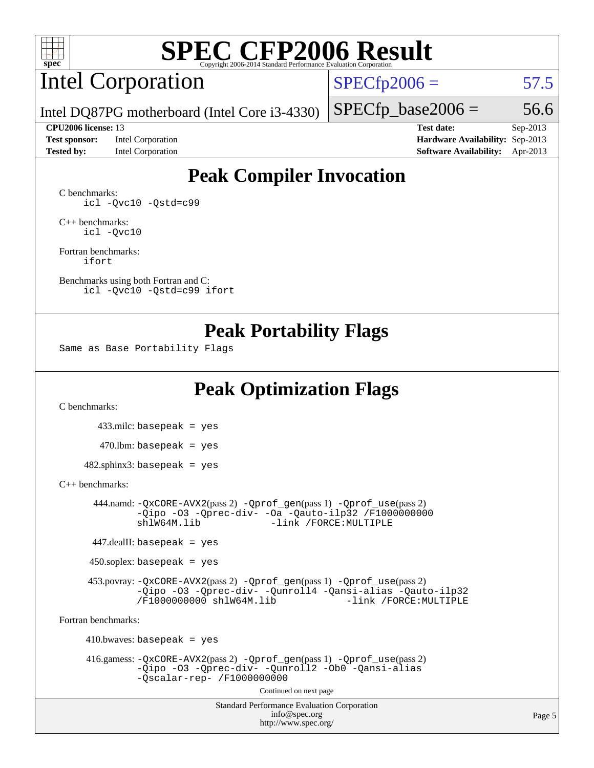

### Intel Corporation

 $SPECfp2006 = 57.5$  $SPECfp2006 = 57.5$ 

Intel DQ87PG motherboard (Intel Core i3-4330)

#### **[CPU2006 license:](http://www.spec.org/auto/cpu2006/Docs/result-fields.html#CPU2006license)** 13 **[Test date:](http://www.spec.org/auto/cpu2006/Docs/result-fields.html#Testdate)** Sep-2013

**[Test sponsor:](http://www.spec.org/auto/cpu2006/Docs/result-fields.html#Testsponsor)** Intel Corporation **[Hardware Availability:](http://www.spec.org/auto/cpu2006/Docs/result-fields.html#HardwareAvailability)** Sep-2013

 $SPECTp\_base2006 = 56.6$ 

**[Tested by:](http://www.spec.org/auto/cpu2006/Docs/result-fields.html#Testedby)** Intel Corporation **[Software Availability:](http://www.spec.org/auto/cpu2006/Docs/result-fields.html#SoftwareAvailability)** Apr-2013

### **[Peak Compiler Invocation](http://www.spec.org/auto/cpu2006/Docs/result-fields.html#PeakCompilerInvocation)**

[C benchmarks](http://www.spec.org/auto/cpu2006/Docs/result-fields.html#Cbenchmarks): [icl -Qvc10](http://www.spec.org/cpu2006/results/res2014q3/cpu2006-20140701-30196.flags.html#user_CCpeak_intel_icc_vc10_9607f3ecbcdf68042245f068e51b40c1) [-Qstd=c99](http://www.spec.org/cpu2006/results/res2014q3/cpu2006-20140701-30196.flags.html#user_CCpeak_intel_compiler_c99_mode_1a3d110e3041b3ad4466830521bdad2a)

[C++ benchmarks:](http://www.spec.org/auto/cpu2006/Docs/result-fields.html#CXXbenchmarks) [icl -Qvc10](http://www.spec.org/cpu2006/results/res2014q3/cpu2006-20140701-30196.flags.html#user_CXXpeak_intel_icc_vc10_9607f3ecbcdf68042245f068e51b40c1)

[Fortran benchmarks](http://www.spec.org/auto/cpu2006/Docs/result-fields.html#Fortranbenchmarks): [ifort](http://www.spec.org/cpu2006/results/res2014q3/cpu2006-20140701-30196.flags.html#user_FCpeak_intel_ifort_8a5e5e06b19a251bdeaf8fdab5d62f20)

[Benchmarks using both Fortran and C](http://www.spec.org/auto/cpu2006/Docs/result-fields.html#BenchmarksusingbothFortranandC): [icl -Qvc10](http://www.spec.org/cpu2006/results/res2014q3/cpu2006-20140701-30196.flags.html#user_CC_FCpeak_intel_icc_vc10_9607f3ecbcdf68042245f068e51b40c1) [-Qstd=c99](http://www.spec.org/cpu2006/results/res2014q3/cpu2006-20140701-30196.flags.html#user_CC_FCpeak_intel_compiler_c99_mode_1a3d110e3041b3ad4466830521bdad2a) [ifort](http://www.spec.org/cpu2006/results/res2014q3/cpu2006-20140701-30196.flags.html#user_CC_FCpeak_intel_ifort_8a5e5e06b19a251bdeaf8fdab5d62f20)

### **[Peak Portability Flags](http://www.spec.org/auto/cpu2006/Docs/result-fields.html#PeakPortabilityFlags)**

Same as Base Portability Flags

### **[Peak Optimization Flags](http://www.spec.org/auto/cpu2006/Docs/result-fields.html#PeakOptimizationFlags)**

[C benchmarks](http://www.spec.org/auto/cpu2006/Docs/result-fields.html#Cbenchmarks):

 433.milc: basepeak = yes  $470.1$ bm: basepeak = yes

 $482$ .sphinx3: basepeak = yes

#### [C++ benchmarks:](http://www.spec.org/auto/cpu2006/Docs/result-fields.html#CXXbenchmarks)

 444.namd: [-QxCORE-AVX2](http://www.spec.org/cpu2006/results/res2014q3/cpu2006-20140701-30196.flags.html#user_peakPASS2_CXXFLAGSPASS2_LDFLAGS444_namd_f-QxAVX2_f98716b5f9e905f99c943c56f21bf430)(pass 2) [-Qprof\\_gen](http://www.spec.org/cpu2006/results/res2014q3/cpu2006-20140701-30196.flags.html#user_peakPASS1_CXXFLAGSPASS1_LDFLAGS444_namd_Qprof_gen)(pass 1) [-Qprof\\_use](http://www.spec.org/cpu2006/results/res2014q3/cpu2006-20140701-30196.flags.html#user_peakPASS2_CXXFLAGSPASS2_LDFLAGS444_namd_Qprof_use)(pass 2) [-Qipo](http://www.spec.org/cpu2006/results/res2014q3/cpu2006-20140701-30196.flags.html#user_peakOPTIMIZE444_namd_f-Qipo) [-O3](http://www.spec.org/cpu2006/results/res2014q3/cpu2006-20140701-30196.flags.html#user_peakOPTIMIZE444_namd_f-O3) [-Qprec-div-](http://www.spec.org/cpu2006/results/res2014q3/cpu2006-20140701-30196.flags.html#user_peakOPTIMIZE444_namd_f-Qprec-div-) [-Oa](http://www.spec.org/cpu2006/results/res2014q3/cpu2006-20140701-30196.flags.html#user_peakOPTIMIZE444_namd_f-Oa) [-Qauto-ilp32](http://www.spec.org/cpu2006/results/res2014q3/cpu2006-20140701-30196.flags.html#user_peakCXXOPTIMIZE444_namd_f-Qauto-ilp32) [/F1000000000](http://www.spec.org/cpu2006/results/res2014q3/cpu2006-20140701-30196.flags.html#user_peakEXTRA_LDFLAGS444_namd_set_stack_space_25d7749c1988d91b7f93afbc0ec53727)0<br>shlW64M.lib -link /FORCE:MULTIPLE -link /FORCE: MULTIPLE

447.dealII: basepeak = yes

 $450$ .soplex: basepeak = yes

 453.povray: [-QxCORE-AVX2](http://www.spec.org/cpu2006/results/res2014q3/cpu2006-20140701-30196.flags.html#user_peakPASS2_CXXFLAGSPASS2_LDFLAGS453_povray_f-QxAVX2_f98716b5f9e905f99c943c56f21bf430)(pass 2) [-Qprof\\_gen](http://www.spec.org/cpu2006/results/res2014q3/cpu2006-20140701-30196.flags.html#user_peakPASS1_CXXFLAGSPASS1_LDFLAGS453_povray_Qprof_gen)(pass 1) [-Qprof\\_use](http://www.spec.org/cpu2006/results/res2014q3/cpu2006-20140701-30196.flags.html#user_peakPASS2_CXXFLAGSPASS2_LDFLAGS453_povray_Qprof_use)(pass 2) [-Qipo](http://www.spec.org/cpu2006/results/res2014q3/cpu2006-20140701-30196.flags.html#user_peakOPTIMIZE453_povray_f-Qipo) [-O3](http://www.spec.org/cpu2006/results/res2014q3/cpu2006-20140701-30196.flags.html#user_peakOPTIMIZE453_povray_f-O3) [-Qprec-div-](http://www.spec.org/cpu2006/results/res2014q3/cpu2006-20140701-30196.flags.html#user_peakOPTIMIZE453_povray_f-Qprec-div-) [-Qunroll4](http://www.spec.org/cpu2006/results/res2014q3/cpu2006-20140701-30196.flags.html#user_peakOPTIMIZE453_povray_f-Qunroll_013b1c0ea3aa84ef2c65e488bcc3d968) [-Qansi-alias](http://www.spec.org/cpu2006/results/res2014q3/cpu2006-20140701-30196.flags.html#user_peakOPTIMIZE453_povray_f-Qansi-alias) [-Qauto-ilp32](http://www.spec.org/cpu2006/results/res2014q3/cpu2006-20140701-30196.flags.html#user_peakCXXOPTIMIZE453_povray_f-Qauto-ilp32) [/F1000000000](http://www.spec.org/cpu2006/results/res2014q3/cpu2006-20140701-30196.flags.html#user_peakEXTRA_LDFLAGS453_povray_set_stack_space_25d7749c1988d91b7f93afbc0ec53727) [shlW64M.lib](http://www.spec.org/cpu2006/results/res2014q3/cpu2006-20140701-30196.flags.html#user_peakEXTRA_LIBS453_povray_SmartHeap64_c4f7f76711bdf8c0633a5c1edf6e5396)

[Fortran benchmarks](http://www.spec.org/auto/cpu2006/Docs/result-fields.html#Fortranbenchmarks):

 $410.bwaves: basepeak = yes$  416.gamess: [-QxCORE-AVX2](http://www.spec.org/cpu2006/results/res2014q3/cpu2006-20140701-30196.flags.html#user_peakPASS2_FFLAGSPASS2_LDFLAGS416_gamess_f-QxAVX2_f98716b5f9e905f99c943c56f21bf430)(pass 2) [-Qprof\\_gen](http://www.spec.org/cpu2006/results/res2014q3/cpu2006-20140701-30196.flags.html#user_peakPASS1_FFLAGSPASS1_LDFLAGS416_gamess_Qprof_gen)(pass 1) [-Qprof\\_use](http://www.spec.org/cpu2006/results/res2014q3/cpu2006-20140701-30196.flags.html#user_peakPASS2_FFLAGSPASS2_LDFLAGS416_gamess_Qprof_use)(pass 2) [-Qipo](http://www.spec.org/cpu2006/results/res2014q3/cpu2006-20140701-30196.flags.html#user_peakOPTIMIZE416_gamess_f-Qipo) [-O3](http://www.spec.org/cpu2006/results/res2014q3/cpu2006-20140701-30196.flags.html#user_peakOPTIMIZE416_gamess_f-O3) [-Qprec-div-](http://www.spec.org/cpu2006/results/res2014q3/cpu2006-20140701-30196.flags.html#user_peakOPTIMIZE416_gamess_f-Qprec-div-) [-Qunroll2](http://www.spec.org/cpu2006/results/res2014q3/cpu2006-20140701-30196.flags.html#user_peakOPTIMIZE416_gamess_f-Qunroll_1d9456aa650e77fc2a0cf43cef3fa08c) [-Ob0](http://www.spec.org/cpu2006/results/res2014q3/cpu2006-20140701-30196.flags.html#user_peakOPTIMIZE416_gamess_f-Ob_n_fbe6f6428adb7d4b74b1e99bb2444c2d) [-Qansi-alias](http://www.spec.org/cpu2006/results/res2014q3/cpu2006-20140701-30196.flags.html#user_peakOPTIMIZE416_gamess_f-Qansi-alias) [-Qscalar-rep-](http://www.spec.org/cpu2006/results/res2014q3/cpu2006-20140701-30196.flags.html#user_peakOPTIMIZE416_gamess_f-Qscalar-rep_02cb9e11a5340d80ab3062d84e5dfb2e) [/F1000000000](http://www.spec.org/cpu2006/results/res2014q3/cpu2006-20140701-30196.flags.html#user_peakEXTRA_LDFLAGS416_gamess_set_stack_space_25d7749c1988d91b7f93afbc0ec53727) Continued on next page